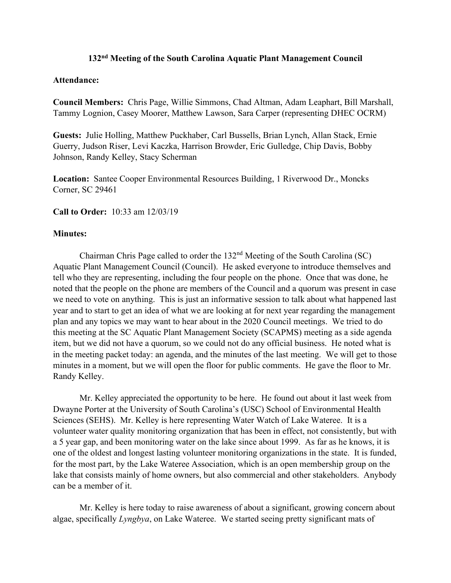## **132nd Meeting of the South Carolina Aquatic Plant Management Council**

## **Attendance:**

**Council Members:** Chris Page, Willie Simmons, Chad Altman, Adam Leaphart, Bill Marshall, Tammy Lognion, Casey Moorer, Matthew Lawson, Sara Carper (representing DHEC OCRM)

**Guests:** Julie Holling, Matthew Puckhaber, Carl Bussells, Brian Lynch, Allan Stack, Ernie Guerry, Judson Riser, Levi Kaczka, Harrison Browder, Eric Gulledge, Chip Davis, Bobby Johnson, Randy Kelley, Stacy Scherman

**Location:** Santee Cooper Environmental Resources Building, 1 Riverwood Dr., Moncks Corner, SC 29461

**Call to Order:** 10:33 am 12/03/19

## **Minutes:**

Chairman Chris Page called to order the  $132<sup>nd</sup>$  Meeting of the South Carolina (SC) Aquatic Plant Management Council (Council). He asked everyone to introduce themselves and tell who they are representing, including the four people on the phone. Once that was done, he noted that the people on the phone are members of the Council and a quorum was present in case we need to vote on anything. This is just an informative session to talk about what happened last year and to start to get an idea of what we are looking at for next year regarding the management plan and any topics we may want to hear about in the 2020 Council meetings. We tried to do this meeting at the SC Aquatic Plant Management Society (SCAPMS) meeting as a side agenda item, but we did not have a quorum, so we could not do any official business. He noted what is in the meeting packet today: an agenda, and the minutes of the last meeting. We will get to those minutes in a moment, but we will open the floor for public comments. He gave the floor to Mr. Randy Kelley.

Mr. Kelley appreciated the opportunity to be here. He found out about it last week from Dwayne Porter at the University of South Carolina's (USC) School of Environmental Health Sciences (SEHS). Mr. Kelley is here representing Water Watch of Lake Wateree. It is a volunteer water quality monitoring organization that has been in effect, not consistently, but with a 5 year gap, and been monitoring water on the lake since about 1999. As far as he knows, it is one of the oldest and longest lasting volunteer monitoring organizations in the state. It is funded, for the most part, by the Lake Wateree Association, which is an open membership group on the lake that consists mainly of home owners, but also commercial and other stakeholders. Anybody can be a member of it.

Mr. Kelley is here today to raise awareness of about a significant, growing concern about algae, specifically *Lyngbya*, on Lake Wateree. We started seeing pretty significant mats of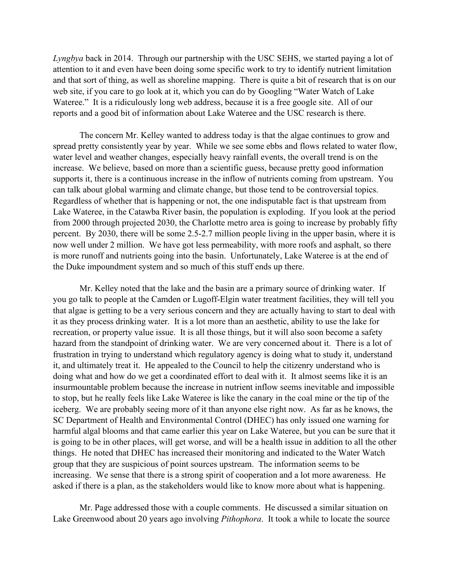*Lyngbya* back in 2014. Through our partnership with the USC SEHS, we started paying a lot of attention to it and even have been doing some specific work to try to identify nutrient limitation and that sort of thing, as well as shoreline mapping. There is quite a bit of research that is on our web site, if you care to go look at it, which you can do by Googling "Water Watch of Lake Wateree." It is a ridiculously long web address, because it is a free google site. All of our reports and a good bit of information about Lake Wateree and the USC research is there.

The concern Mr. Kelley wanted to address today is that the algae continues to grow and spread pretty consistently year by year. While we see some ebbs and flows related to water flow, water level and weather changes, especially heavy rainfall events, the overall trend is on the increase. We believe, based on more than a scientific guess, because pretty good information supports it, there is a continuous increase in the inflow of nutrients coming from upstream. You can talk about global warming and climate change, but those tend to be controversial topics. Regardless of whether that is happening or not, the one indisputable fact is that upstream from Lake Wateree, in the Catawba River basin, the population is exploding. If you look at the period from 2000 through projected 2030, the Charlotte metro area is going to increase by probably fifty percent. By 2030, there will be some 2.5-2.7 million people living in the upper basin, where it is now well under 2 million. We have got less permeability, with more roofs and asphalt, so there is more runoff and nutrients going into the basin. Unfortunately, Lake Wateree is at the end of the Duke impoundment system and so much of this stuff ends up there.

Mr. Kelley noted that the lake and the basin are a primary source of drinking water. If you go talk to people at the Camden or Lugoff-Elgin water treatment facilities, they will tell you that algae is getting to be a very serious concern and they are actually having to start to deal with it as they process drinking water. It is a lot more than an aesthetic, ability to use the lake for recreation, or property value issue. It is all those things, but it will also soon become a safety hazard from the standpoint of drinking water. We are very concerned about it. There is a lot of frustration in trying to understand which regulatory agency is doing what to study it, understand it, and ultimately treat it. He appealed to the Council to help the citizenry understand who is doing what and how do we get a coordinated effort to deal with it. It almost seems like it is an insurmountable problem because the increase in nutrient inflow seems inevitable and impossible to stop, but he really feels like Lake Wateree is like the canary in the coal mine or the tip of the iceberg. We are probably seeing more of it than anyone else right now. As far as he knows, the SC Department of Health and Environmental Control (DHEC) has only issued one warning for harmful algal blooms and that came earlier this year on Lake Wateree, but you can be sure that it is going to be in other places, will get worse, and will be a health issue in addition to all the other things. He noted that DHEC has increased their monitoring and indicated to the Water Watch group that they are suspicious of point sources upstream. The information seems to be increasing. We sense that there is a strong spirit of cooperation and a lot more awareness. He asked if there is a plan, as the stakeholders would like to know more about what is happening.

Mr. Page addressed those with a couple comments. He discussed a similar situation on Lake Greenwood about 20 years ago involving *Pithophora*. It took a while to locate the source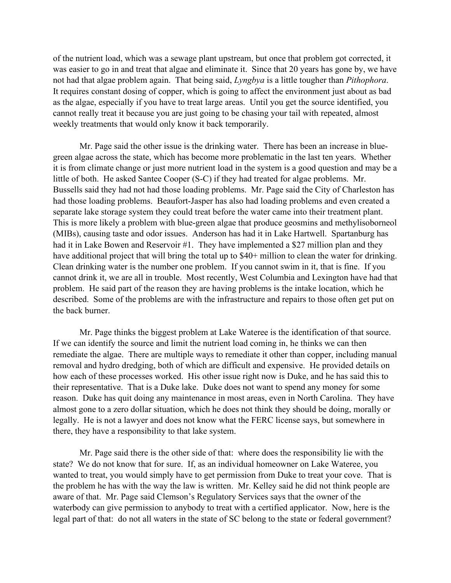of the nutrient load, which was a sewage plant upstream, but once that problem got corrected, it was easier to go in and treat that algae and eliminate it. Since that 20 years has gone by, we have not had that algae problem again. That being said, *Lyngbya* is a little tougher than *Pithophora*. It requires constant dosing of copper, which is going to affect the environment just about as bad as the algae, especially if you have to treat large areas. Until you get the source identified, you cannot really treat it because you are just going to be chasing your tail with repeated, almost weekly treatments that would only know it back temporarily.

Mr. Page said the other issue is the drinking water. There has been an increase in bluegreen algae across the state, which has become more problematic in the last ten years. Whether it is from climate change or just more nutrient load in the system is a good question and may be a little of both. He asked Santee Cooper (S-C) if they had treated for algae problems. Mr. Bussells said they had not had those loading problems. Mr. Page said the City of Charleston has had those loading problems. Beaufort-Jasper has also had loading problems and even created a separate lake storage system they could treat before the water came into their treatment plant. This is more likely a problem with blue-green algae that produce geosmins and methylisoborneol (MIBs), causing taste and odor issues. Anderson has had it in Lake Hartwell. Spartanburg has had it in Lake Bowen and Reservoir #1. They have implemented a \$27 million plan and they have additional project that will bring the total up to \$40+ million to clean the water for drinking. Clean drinking water is the number one problem. If you cannot swim in it, that is fine. If you cannot drink it, we are all in trouble. Most recently, West Columbia and Lexington have had that problem. He said part of the reason they are having problems is the intake location, which he described. Some of the problems are with the infrastructure and repairs to those often get put on the back burner.

Mr. Page thinks the biggest problem at Lake Wateree is the identification of that source. If we can identify the source and limit the nutrient load coming in, he thinks we can then remediate the algae. There are multiple ways to remediate it other than copper, including manual removal and hydro dredging, both of which are difficult and expensive. He provided details on how each of these processes worked. His other issue right now is Duke, and he has said this to their representative. That is a Duke lake. Duke does not want to spend any money for some reason. Duke has quit doing any maintenance in most areas, even in North Carolina. They have almost gone to a zero dollar situation, which he does not think they should be doing, morally or legally. He is not a lawyer and does not know what the FERC license says, but somewhere in there, they have a responsibility to that lake system.

Mr. Page said there is the other side of that: where does the responsibility lie with the state? We do not know that for sure. If, as an individual homeowner on Lake Wateree, you wanted to treat, you would simply have to get permission from Duke to treat your cove. That is the problem he has with the way the law is written. Mr. Kelley said he did not think people are aware of that. Mr. Page said Clemson's Regulatory Services says that the owner of the waterbody can give permission to anybody to treat with a certified applicator. Now, here is the legal part of that: do not all waters in the state of SC belong to the state or federal government?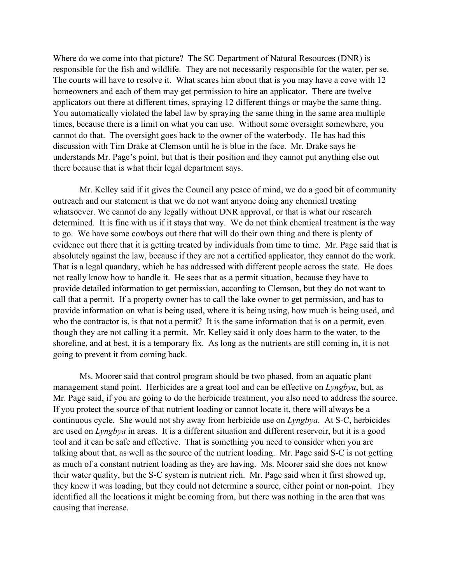Where do we come into that picture? The SC Department of Natural Resources (DNR) is responsible for the fish and wildlife. They are not necessarily responsible for the water, per se. The courts will have to resolve it. What scares him about that is you may have a cove with 12 homeowners and each of them may get permission to hire an applicator. There are twelve applicators out there at different times, spraying 12 different things or maybe the same thing. You automatically violated the label law by spraying the same thing in the same area multiple times, because there is a limit on what you can use. Without some oversight somewhere, you cannot do that. The oversight goes back to the owner of the waterbody. He has had this discussion with Tim Drake at Clemson until he is blue in the face. Mr. Drake says he understands Mr. Page's point, but that is their position and they cannot put anything else out there because that is what their legal department says.

Mr. Kelley said if it gives the Council any peace of mind, we do a good bit of community outreach and our statement is that we do not want anyone doing any chemical treating whatsoever. We cannot do any legally without DNR approval, or that is what our research determined. It is fine with us if it stays that way. We do not think chemical treatment is the way to go. We have some cowboys out there that will do their own thing and there is plenty of evidence out there that it is getting treated by individuals from time to time. Mr. Page said that is absolutely against the law, because if they are not a certified applicator, they cannot do the work. That is a legal quandary, which he has addressed with different people across the state. He does not really know how to handle it. He sees that as a permit situation, because they have to provide detailed information to get permission, according to Clemson, but they do not want to call that a permit. If a property owner has to call the lake owner to get permission, and has to provide information on what is being used, where it is being using, how much is being used, and who the contractor is, is that not a permit? It is the same information that is on a permit, even though they are not calling it a permit. Mr. Kelley said it only does harm to the water, to the shoreline, and at best, it is a temporary fix. As long as the nutrients are still coming in, it is not going to prevent it from coming back.

Ms. Moorer said that control program should be two phased, from an aquatic plant management stand point. Herbicides are a great tool and can be effective on *Lyngbya*, but, as Mr. Page said, if you are going to do the herbicide treatment, you also need to address the source. If you protect the source of that nutrient loading or cannot locate it, there will always be a continuous cycle. She would not shy away from herbicide use on *Lyngbya*. At S-C, herbicides are used on *Lyngbya* in areas. It is a different situation and different reservoir, but it is a good tool and it can be safe and effective. That is something you need to consider when you are talking about that, as well as the source of the nutrient loading. Mr. Page said S-C is not getting as much of a constant nutrient loading as they are having. Ms. Moorer said she does not know their water quality, but the S-C system is nutrient rich. Mr. Page said when it first showed up, they knew it was loading, but they could not determine a source, either point or non-point. They identified all the locations it might be coming from, but there was nothing in the area that was causing that increase.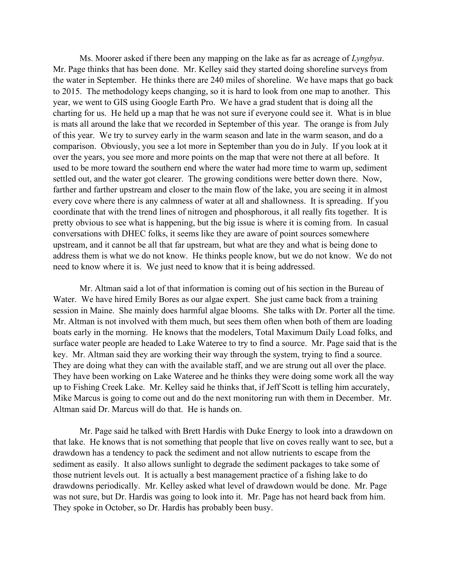Ms. Moorer asked if there been any mapping on the lake as far as acreage of *Lyngbya*. Mr. Page thinks that has been done. Mr. Kelley said they started doing shoreline surveys from the water in September. He thinks there are 240 miles of shoreline. We have maps that go back to 2015. The methodology keeps changing, so it is hard to look from one map to another. This year, we went to GIS using Google Earth Pro. We have a grad student that is doing all the charting for us. He held up a map that he was not sure if everyone could see it. What is in blue is mats all around the lake that we recorded in September of this year. The orange is from July of this year. We try to survey early in the warm season and late in the warm season, and do a comparison. Obviously, you see a lot more in September than you do in July. If you look at it over the years, you see more and more points on the map that were not there at all before. It used to be more toward the southern end where the water had more time to warm up, sediment settled out, and the water got clearer. The growing conditions were better down there. Now, farther and farther upstream and closer to the main flow of the lake, you are seeing it in almost every cove where there is any calmness of water at all and shallowness. It is spreading. If you coordinate that with the trend lines of nitrogen and phosphorous, it all really fits together. It is pretty obvious to see what is happening, but the big issue is where it is coming from. In casual conversations with DHEC folks, it seems like they are aware of point sources somewhere upstream, and it cannot be all that far upstream, but what are they and what is being done to address them is what we do not know. He thinks people know, but we do not know. We do not need to know where it is. We just need to know that it is being addressed.

Mr. Altman said a lot of that information is coming out of his section in the Bureau of Water. We have hired Emily Bores as our algae expert. She just came back from a training session in Maine. She mainly does harmful algae blooms. She talks with Dr. Porter all the time. Mr. Altman is not involved with them much, but sees them often when both of them are loading boats early in the morning. He knows that the modelers, Total Maximum Daily Load folks, and surface water people are headed to Lake Wateree to try to find a source. Mr. Page said that is the key. Mr. Altman said they are working their way through the system, trying to find a source. They are doing what they can with the available staff, and we are strung out all over the place. They have been working on Lake Wateree and he thinks they were doing some work all the way up to Fishing Creek Lake. Mr. Kelley said he thinks that, if Jeff Scott is telling him accurately, Mike Marcus is going to come out and do the next monitoring run with them in December. Mr. Altman said Dr. Marcus will do that. He is hands on.

Mr. Page said he talked with Brett Hardis with Duke Energy to look into a drawdown on that lake. He knows that is not something that people that live on coves really want to see, but a drawdown has a tendency to pack the sediment and not allow nutrients to escape from the sediment as easily. It also allows sunlight to degrade the sediment packages to take some of those nutrient levels out. It is actually a best management practice of a fishing lake to do drawdowns periodically. Mr. Kelley asked what level of drawdown would be done. Mr. Page was not sure, but Dr. Hardis was going to look into it. Mr. Page has not heard back from him. They spoke in October, so Dr. Hardis has probably been busy.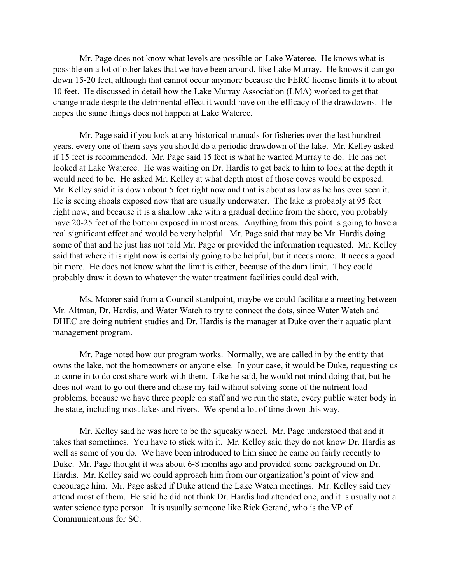Mr. Page does not know what levels are possible on Lake Wateree. He knows what is possible on a lot of other lakes that we have been around, like Lake Murray. He knows it can go down 15-20 feet, although that cannot occur anymore because the FERC license limits it to about 10 feet. He discussed in detail how the Lake Murray Association (LMA) worked to get that change made despite the detrimental effect it would have on the efficacy of the drawdowns. He hopes the same things does not happen at Lake Wateree.

Mr. Page said if you look at any historical manuals for fisheries over the last hundred years, every one of them says you should do a periodic drawdown of the lake. Mr. Kelley asked if 15 feet is recommended. Mr. Page said 15 feet is what he wanted Murray to do. He has not looked at Lake Wateree. He was waiting on Dr. Hardis to get back to him to look at the depth it would need to be. He asked Mr. Kelley at what depth most of those coves would be exposed. Mr. Kelley said it is down about 5 feet right now and that is about as low as he has ever seen it. He is seeing shoals exposed now that are usually underwater. The lake is probably at 95 feet right now, and because it is a shallow lake with a gradual decline from the shore, you probably have 20-25 feet of the bottom exposed in most areas. Anything from this point is going to have a real significant effect and would be very helpful. Mr. Page said that may be Mr. Hardis doing some of that and he just has not told Mr. Page or provided the information requested. Mr. Kelley said that where it is right now is certainly going to be helpful, but it needs more. It needs a good bit more. He does not know what the limit is either, because of the dam limit. They could probably draw it down to whatever the water treatment facilities could deal with.

Ms. Moorer said from a Council standpoint, maybe we could facilitate a meeting between Mr. Altman, Dr. Hardis, and Water Watch to try to connect the dots, since Water Watch and DHEC are doing nutrient studies and Dr. Hardis is the manager at Duke over their aquatic plant management program.

Mr. Page noted how our program works. Normally, we are called in by the entity that owns the lake, not the homeowners or anyone else. In your case, it would be Duke, requesting us to come in to do cost share work with them. Like he said, he would not mind doing that, but he does not want to go out there and chase my tail without solving some of the nutrient load problems, because we have three people on staff and we run the state, every public water body in the state, including most lakes and rivers. We spend a lot of time down this way.

Mr. Kelley said he was here to be the squeaky wheel. Mr. Page understood that and it takes that sometimes. You have to stick with it. Mr. Kelley said they do not know Dr. Hardis as well as some of you do. We have been introduced to him since he came on fairly recently to Duke. Mr. Page thought it was about 6-8 months ago and provided some background on Dr. Hardis. Mr. Kelley said we could approach him from our organization's point of view and encourage him. Mr. Page asked if Duke attend the Lake Watch meetings. Mr. Kelley said they attend most of them. He said he did not think Dr. Hardis had attended one, and it is usually not a water science type person. It is usually someone like Rick Gerand, who is the VP of Communications for SC.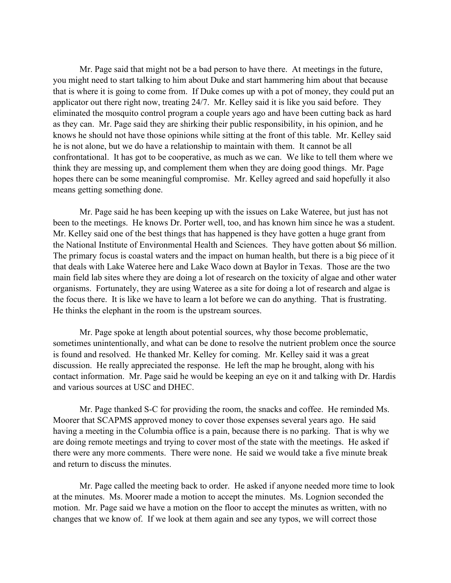Mr. Page said that might not be a bad person to have there. At meetings in the future, you might need to start talking to him about Duke and start hammering him about that because that is where it is going to come from. If Duke comes up with a pot of money, they could put an applicator out there right now, treating 24/7. Mr. Kelley said it is like you said before. They eliminated the mosquito control program a couple years ago and have been cutting back as hard as they can. Mr. Page said they are shirking their public responsibility, in his opinion, and he knows he should not have those opinions while sitting at the front of this table. Mr. Kelley said he is not alone, but we do have a relationship to maintain with them. It cannot be all confrontational. It has got to be cooperative, as much as we can. We like to tell them where we think they are messing up, and complement them when they are doing good things. Mr. Page hopes there can be some meaningful compromise. Mr. Kelley agreed and said hopefully it also means getting something done.

Mr. Page said he has been keeping up with the issues on Lake Wateree, but just has not been to the meetings. He knows Dr. Porter well, too, and has known him since he was a student. Mr. Kelley said one of the best things that has happened is they have gotten a huge grant from the National Institute of Environmental Health and Sciences. They have gotten about \$6 million. The primary focus is coastal waters and the impact on human health, but there is a big piece of it that deals with Lake Wateree here and Lake Waco down at Baylor in Texas. Those are the two main field lab sites where they are doing a lot of research on the toxicity of algae and other water organisms. Fortunately, they are using Wateree as a site for doing a lot of research and algae is the focus there. It is like we have to learn a lot before we can do anything. That is frustrating. He thinks the elephant in the room is the upstream sources.

Mr. Page spoke at length about potential sources, why those become problematic, sometimes unintentionally, and what can be done to resolve the nutrient problem once the source is found and resolved. He thanked Mr. Kelley for coming. Mr. Kelley said it was a great discussion. He really appreciated the response. He left the map he brought, along with his contact information. Mr. Page said he would be keeping an eye on it and talking with Dr. Hardis and various sources at USC and DHEC.

Mr. Page thanked S-C for providing the room, the snacks and coffee. He reminded Ms. Moorer that SCAPMS approved money to cover those expenses several years ago. He said having a meeting in the Columbia office is a pain, because there is no parking. That is why we are doing remote meetings and trying to cover most of the state with the meetings. He asked if there were any more comments. There were none. He said we would take a five minute break and return to discuss the minutes.

Mr. Page called the meeting back to order. He asked if anyone needed more time to look at the minutes. Ms. Moorer made a motion to accept the minutes. Ms. Lognion seconded the motion. Mr. Page said we have a motion on the floor to accept the minutes as written, with no changes that we know of. If we look at them again and see any typos, we will correct those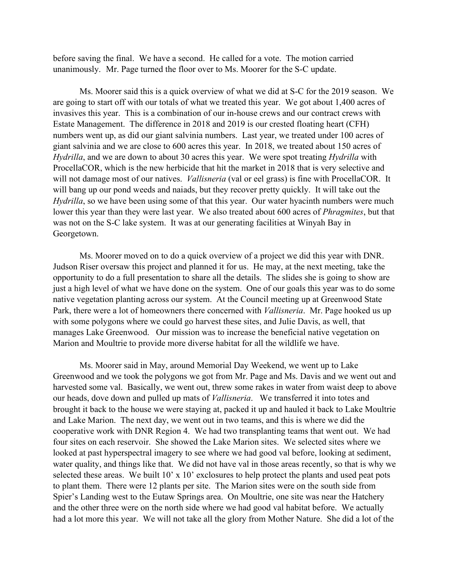before saving the final. We have a second. He called for a vote. The motion carried unanimously. Mr. Page turned the floor over to Ms. Moorer for the S-C update.

Ms. Moorer said this is a quick overview of what we did at S-C for the 2019 season. We are going to start off with our totals of what we treated this year. We got about 1,400 acres of invasives this year. This is a combination of our in-house crews and our contract crews with Estate Management. The difference in 2018 and 2019 is our crested floating heart (CFH) numbers went up, as did our giant salvinia numbers. Last year, we treated under 100 acres of giant salvinia and we are close to 600 acres this year. In 2018, we treated about 150 acres of *Hydrilla*, and we are down to about 30 acres this year. We were spot treating *Hydrilla* with ProcellaCOR, which is the new herbicide that hit the market in 2018 that is very selective and will not damage most of our natives. *Vallisneria* (val or eel grass) is fine with ProcellaCOR. It will bang up our pond weeds and naiads, but they recover pretty quickly. It will take out the *Hydrilla*, so we have been using some of that this year. Our water hyacinth numbers were much lower this year than they were last year. We also treated about 600 acres of *Phragmites*, but that was not on the S-C lake system. It was at our generating facilities at Winyah Bay in Georgetown.

Ms. Moorer moved on to do a quick overview of a project we did this year with DNR. Judson Riser oversaw this project and planned it for us. He may, at the next meeting, take the opportunity to do a full presentation to share all the details. The slides she is going to show are just a high level of what we have done on the system. One of our goals this year was to do some native vegetation planting across our system. At the Council meeting up at Greenwood State Park, there were a lot of homeowners there concerned with *Vallisneria*. Mr. Page hooked us up with some polygons where we could go harvest these sites, and Julie Davis, as well, that manages Lake Greenwood. Our mission was to increase the beneficial native vegetation on Marion and Moultrie to provide more diverse habitat for all the wildlife we have.

Ms. Moorer said in May, around Memorial Day Weekend, we went up to Lake Greenwood and we took the polygons we got from Mr. Page and Ms. Davis and we went out and harvested some val. Basically, we went out, threw some rakes in water from waist deep to above our heads, dove down and pulled up mats of *Vallisneria*. We transferred it into totes and brought it back to the house we were staying at, packed it up and hauled it back to Lake Moultrie and Lake Marion. The next day, we went out in two teams, and this is where we did the cooperative work with DNR Region 4. We had two transplanting teams that went out. We had four sites on each reservoir. She showed the Lake Marion sites. We selected sites where we looked at past hyperspectral imagery to see where we had good val before, looking at sediment, water quality, and things like that. We did not have val in those areas recently, so that is why we selected these areas. We built 10' x 10' exclosures to help protect the plants and used peat pots to plant them. There were 12 plants per site. The Marion sites were on the south side from Spier's Landing west to the Eutaw Springs area. On Moultrie, one site was near the Hatchery and the other three were on the north side where we had good val habitat before. We actually had a lot more this year. We will not take all the glory from Mother Nature. She did a lot of the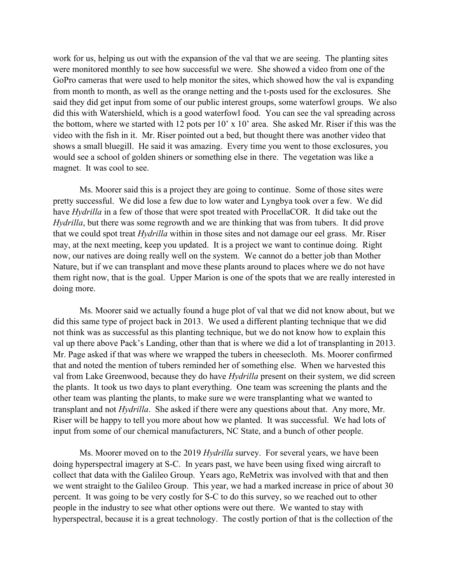work for us, helping us out with the expansion of the val that we are seeing. The planting sites were monitored monthly to see how successful we were. She showed a video from one of the GoPro cameras that were used to help monitor the sites, which showed how the val is expanding from month to month, as well as the orange netting and the t-posts used for the exclosures. She said they did get input from some of our public interest groups, some waterfowl groups. We also did this with Watershield, which is a good waterfowl food. You can see the val spreading across the bottom, where we started with 12 pots per 10' x 10' area. She asked Mr. Riser if this was the video with the fish in it. Mr. Riser pointed out a bed, but thought there was another video that shows a small bluegill. He said it was amazing. Every time you went to those exclosures, you would see a school of golden shiners or something else in there. The vegetation was like a magnet. It was cool to see.

Ms. Moorer said this is a project they are going to continue. Some of those sites were pretty successful. We did lose a few due to low water and Lyngbya took over a few. We did have *Hydrilla* in a few of those that were spot treated with ProcellaCOR. It did take out the *Hydrilla*, but there was some regrowth and we are thinking that was from tubers. It did prove that we could spot treat *Hydrilla* within in those sites and not damage our eel grass. Mr. Riser may, at the next meeting, keep you updated. It is a project we want to continue doing. Right now, our natives are doing really well on the system. We cannot do a better job than Mother Nature, but if we can transplant and move these plants around to places where we do not have them right now, that is the goal. Upper Marion is one of the spots that we are really interested in doing more.

Ms. Moorer said we actually found a huge plot of val that we did not know about, but we did this same type of project back in 2013. We used a different planting technique that we did not think was as successful as this planting technique, but we do not know how to explain this val up there above Pack's Landing, other than that is where we did a lot of transplanting in 2013. Mr. Page asked if that was where we wrapped the tubers in cheesecloth. Ms. Moorer confirmed that and noted the mention of tubers reminded her of something else. When we harvested this val from Lake Greenwood, because they do have *Hydrilla* present on their system, we did screen the plants. It took us two days to plant everything. One team was screening the plants and the other team was planting the plants, to make sure we were transplanting what we wanted to transplant and not *Hydrilla*. She asked if there were any questions about that. Any more, Mr. Riser will be happy to tell you more about how we planted. It was successful. We had lots of input from some of our chemical manufacturers, NC State, and a bunch of other people.

Ms. Moorer moved on to the 2019 *Hydrilla* survey. For several years, we have been doing hyperspectral imagery at S-C. In years past, we have been using fixed wing aircraft to collect that data with the Galileo Group. Years ago, ReMetrix was involved with that and then we went straight to the Galileo Group. This year, we had a marked increase in price of about 30 percent. It was going to be very costly for S-C to do this survey, so we reached out to other people in the industry to see what other options were out there. We wanted to stay with hyperspectral, because it is a great technology. The costly portion of that is the collection of the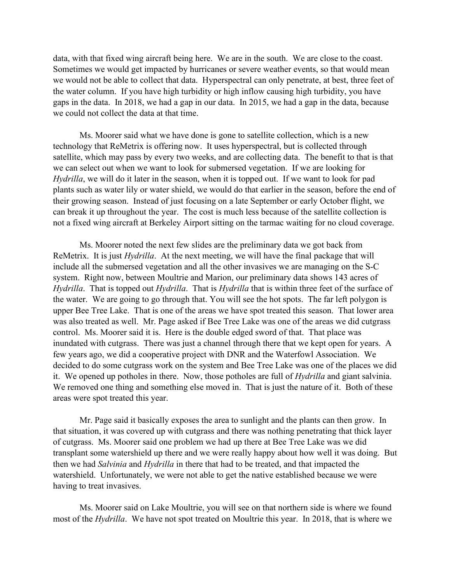data, with that fixed wing aircraft being here. We are in the south. We are close to the coast. Sometimes we would get impacted by hurricanes or severe weather events, so that would mean we would not be able to collect that data. Hyperspectral can only penetrate, at best, three feet of the water column. If you have high turbidity or high inflow causing high turbidity, you have gaps in the data. In 2018, we had a gap in our data. In 2015, we had a gap in the data, because we could not collect the data at that time.

Ms. Moorer said what we have done is gone to satellite collection, which is a new technology that ReMetrix is offering now. It uses hyperspectral, but is collected through satellite, which may pass by every two weeks, and are collecting data. The benefit to that is that we can select out when we want to look for submersed vegetation. If we are looking for *Hydrilla*, we will do it later in the season, when it is topped out. If we want to look for pad plants such as water lily or water shield, we would do that earlier in the season, before the end of their growing season. Instead of just focusing on a late September or early October flight, we can break it up throughout the year. The cost is much less because of the satellite collection is not a fixed wing aircraft at Berkeley Airport sitting on the tarmac waiting for no cloud coverage.

Ms. Moorer noted the next few slides are the preliminary data we got back from ReMetrix. It is just *Hydrilla*. At the next meeting, we will have the final package that will include all the submersed vegetation and all the other invasives we are managing on the S-C system. Right now, between Moultrie and Marion, our preliminary data shows 143 acres of *Hydrilla*. That is topped out *Hydrilla*. That is *Hydrilla* that is within three feet of the surface of the water. We are going to go through that. You will see the hot spots. The far left polygon is upper Bee Tree Lake. That is one of the areas we have spot treated this season. That lower area was also treated as well. Mr. Page asked if Bee Tree Lake was one of the areas we did cutgrass control. Ms. Moorer said it is. Here is the double edged sword of that. That place was inundated with cutgrass. There was just a channel through there that we kept open for years. A few years ago, we did a cooperative project with DNR and the Waterfowl Association. We decided to do some cutgrass work on the system and Bee Tree Lake was one of the places we did it. We opened up potholes in there. Now, those potholes are full of *Hydrilla* and giant salvinia. We removed one thing and something else moved in. That is just the nature of it. Both of these areas were spot treated this year.

Mr. Page said it basically exposes the area to sunlight and the plants can then grow. In that situation, it was covered up with cutgrass and there was nothing penetrating that thick layer of cutgrass. Ms. Moorer said one problem we had up there at Bee Tree Lake was we did transplant some watershield up there and we were really happy about how well it was doing. But then we had *Salvinia* and *Hydrilla* in there that had to be treated, and that impacted the watershield. Unfortunately, we were not able to get the native established because we were having to treat invasives.

Ms. Moorer said on Lake Moultrie, you will see on that northern side is where we found most of the *Hydrilla*. We have not spot treated on Moultrie this year. In 2018, that is where we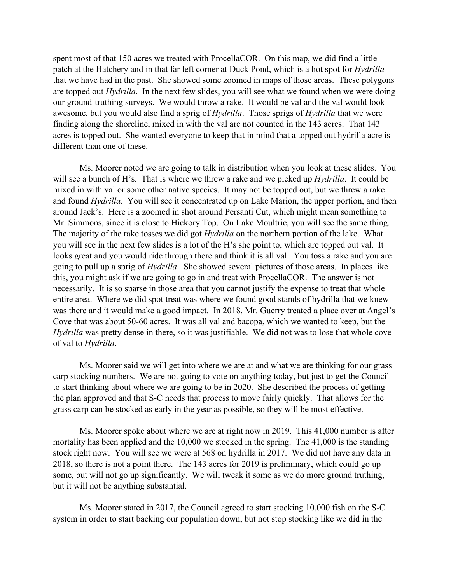spent most of that 150 acres we treated with ProcellaCOR. On this map, we did find a little patch at the Hatchery and in that far left corner at Duck Pond, which is a hot spot for *Hydrilla* that we have had in the past. She showed some zoomed in maps of those areas. These polygons are topped out *Hydrilla*. In the next few slides, you will see what we found when we were doing our ground-truthing surveys. We would throw a rake. It would be val and the val would look awesome, but you would also find a sprig of *Hydrilla*. Those sprigs of *Hydrilla* that we were finding along the shoreline, mixed in with the val are not counted in the 143 acres. That 143 acres is topped out. She wanted everyone to keep that in mind that a topped out hydrilla acre is different than one of these.

Ms. Moorer noted we are going to talk in distribution when you look at these slides. You will see a bunch of H's. That is where we threw a rake and we picked up *Hydrilla*. It could be mixed in with val or some other native species. It may not be topped out, but we threw a rake and found *Hydrilla*. You will see it concentrated up on Lake Marion, the upper portion, and then around Jack's. Here is a zoomed in shot around Persanti Cut, which might mean something to Mr. Simmons, since it is close to Hickory Top. On Lake Moultrie, you will see the same thing. The majority of the rake tosses we did got *Hydrilla* on the northern portion of the lake. What you will see in the next few slides is a lot of the H's she point to, which are topped out val. It looks great and you would ride through there and think it is all val. You toss a rake and you are going to pull up a sprig of *Hydrilla*. She showed several pictures of those areas. In places like this, you might ask if we are going to go in and treat with ProcellaCOR. The answer is not necessarily. It is so sparse in those area that you cannot justify the expense to treat that whole entire area. Where we did spot treat was where we found good stands of hydrilla that we knew was there and it would make a good impact. In 2018, Mr. Guerry treated a place over at Angel's Cove that was about 50-60 acres. It was all val and bacopa, which we wanted to keep, but the *Hydrilla* was pretty dense in there, so it was justifiable. We did not was to lose that whole cove of val to *Hydrilla*.

Ms. Moorer said we will get into where we are at and what we are thinking for our grass carp stocking numbers. We are not going to vote on anything today, but just to get the Council to start thinking about where we are going to be in 2020. She described the process of getting the plan approved and that S-C needs that process to move fairly quickly. That allows for the grass carp can be stocked as early in the year as possible, so they will be most effective.

Ms. Moorer spoke about where we are at right now in 2019. This 41,000 number is after mortality has been applied and the 10,000 we stocked in the spring. The 41,000 is the standing stock right now. You will see we were at 568 on hydrilla in 2017. We did not have any data in 2018, so there is not a point there. The 143 acres for 2019 is preliminary, which could go up some, but will not go up significantly. We will tweak it some as we do more ground truthing, but it will not be anything substantial.

Ms. Moorer stated in 2017, the Council agreed to start stocking 10,000 fish on the S-C system in order to start backing our population down, but not stop stocking like we did in the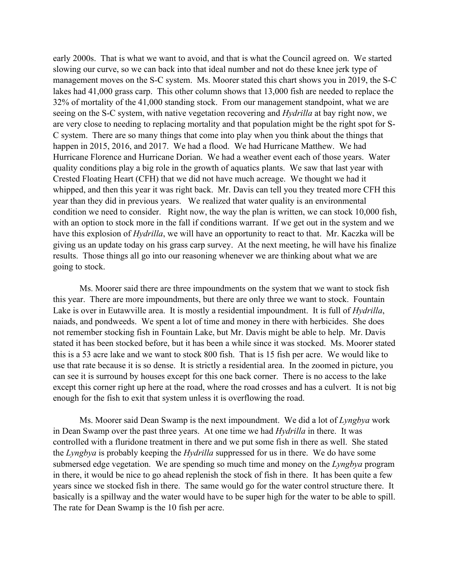early 2000s. That is what we want to avoid, and that is what the Council agreed on. We started slowing our curve, so we can back into that ideal number and not do these knee jerk type of management moves on the S-C system. Ms. Moorer stated this chart shows you in 2019, the S-C lakes had 41,000 grass carp. This other column shows that 13,000 fish are needed to replace the 32% of mortality of the 41,000 standing stock. From our management standpoint, what we are seeing on the S-C system, with native vegetation recovering and *Hydrilla* at bay right now, we are very close to needing to replacing mortality and that population might be the right spot for S-C system. There are so many things that come into play when you think about the things that happen in 2015, 2016, and 2017. We had a flood. We had Hurricane Matthew. We had Hurricane Florence and Hurricane Dorian. We had a weather event each of those years. Water quality conditions play a big role in the growth of aquatics plants. We saw that last year with Crested Floating Heart (CFH) that we did not have much acreage. We thought we had it whipped, and then this year it was right back. Mr. Davis can tell you they treated more CFH this year than they did in previous years. We realized that water quality is an environmental condition we need to consider. Right now, the way the plan is written, we can stock 10,000 fish, with an option to stock more in the fall if conditions warrant. If we get out in the system and we have this explosion of *Hydrilla*, we will have an opportunity to react to that. Mr. Kaczka will be giving us an update today on his grass carp survey. At the next meeting, he will have his finalize results. Those things all go into our reasoning whenever we are thinking about what we are going to stock.

Ms. Moorer said there are three impoundments on the system that we want to stock fish this year. There are more impoundments, but there are only three we want to stock. Fountain Lake is over in Eutawville area. It is mostly a residential impoundment. It is full of *Hydrilla*, naiads, and pondweeds. We spent a lot of time and money in there with herbicides. She does not remember stocking fish in Fountain Lake, but Mr. Davis might be able to help. Mr. Davis stated it has been stocked before, but it has been a while since it was stocked. Ms. Moorer stated this is a 53 acre lake and we want to stock 800 fish. That is 15 fish per acre. We would like to use that rate because it is so dense. It is strictly a residential area. In the zoomed in picture, you can see it is surround by houses except for this one back corner. There is no access to the lake except this corner right up here at the road, where the road crosses and has a culvert. It is not big enough for the fish to exit that system unless it is overflowing the road.

Ms. Moorer said Dean Swamp is the next impoundment. We did a lot of *Lyngbya* work in Dean Swamp over the past three years. At one time we had *Hydrilla* in there. It was controlled with a fluridone treatment in there and we put some fish in there as well. She stated the *Lyngbya* is probably keeping the *Hydrilla* suppressed for us in there. We do have some submersed edge vegetation. We are spending so much time and money on the *Lyngbya* program in there, it would be nice to go ahead replenish the stock of fish in there. It has been quite a few years since we stocked fish in there. The same would go for the water control structure there. It basically is a spillway and the water would have to be super high for the water to be able to spill. The rate for Dean Swamp is the 10 fish per acre.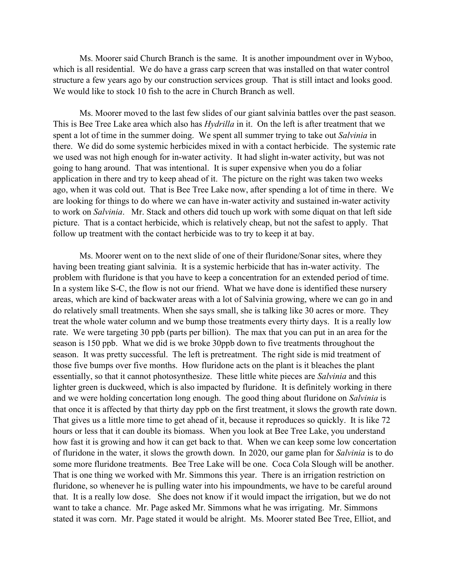Ms. Moorer said Church Branch is the same. It is another impoundment over in Wyboo, which is all residential. We do have a grass carp screen that was installed on that water control structure a few years ago by our construction services group. That is still intact and looks good. We would like to stock 10 fish to the acre in Church Branch as well.

Ms. Moorer moved to the last few slides of our giant salvinia battles over the past season. This is Bee Tree Lake area which also has *Hydrilla* in it. On the left is after treatment that we spent a lot of time in the summer doing. We spent all summer trying to take out *Salvinia* in there. We did do some systemic herbicides mixed in with a contact herbicide. The systemic rate we used was not high enough for in-water activity. It had slight in-water activity, but was not going to hang around. That was intentional. It is super expensive when you do a foliar application in there and try to keep ahead of it. The picture on the right was taken two weeks ago, when it was cold out. That is Bee Tree Lake now, after spending a lot of time in there. We are looking for things to do where we can have in-water activity and sustained in-water activity to work on *Salvinia*. Mr. Stack and others did touch up work with some diquat on that left side picture. That is a contact herbicide, which is relatively cheap, but not the safest to apply. That follow up treatment with the contact herbicide was to try to keep it at bay.

Ms. Moorer went on to the next slide of one of their fluridone/Sonar sites, where they having been treating giant salvinia. It is a systemic herbicide that has in-water activity. The problem with fluridone is that you have to keep a concentration for an extended period of time. In a system like S-C, the flow is not our friend. What we have done is identified these nursery areas, which are kind of backwater areas with a lot of Salvinia growing, where we can go in and do relatively small treatments. When she says small, she is talking like 30 acres or more. They treat the whole water column and we bump those treatments every thirty days. It is a really low rate. We were targeting 30 ppb (parts per billion). The max that you can put in an area for the season is 150 ppb. What we did is we broke 30ppb down to five treatments throughout the season. It was pretty successful. The left is pretreatment. The right side is mid treatment of those five bumps over five months. How fluridone acts on the plant is it bleaches the plant essentially, so that it cannot photosynthesize. These little white pieces are *Salvinia* and this lighter green is duckweed, which is also impacted by fluridone. It is definitely working in there and we were holding concertation long enough. The good thing about fluridone on *Salvinia* is that once it is affected by that thirty day ppb on the first treatment, it slows the growth rate down. That gives us a little more time to get ahead of it, because it reproduces so quickly. It is like 72 hours or less that it can double its biomass. When you look at Bee Tree Lake, you understand how fast it is growing and how it can get back to that. When we can keep some low concertation of fluridone in the water, it slows the growth down. In 2020, our game plan for *Salvinia* is to do some more fluridone treatments. Bee Tree Lake will be one. Coca Cola Slough will be another. That is one thing we worked with Mr. Simmons this year. There is an irrigation restriction on fluridone, so whenever he is pulling water into his impoundments, we have to be careful around that. It is a really low dose. She does not know if it would impact the irrigation, but we do not want to take a chance. Mr. Page asked Mr. Simmons what he was irrigating. Mr. Simmons stated it was corn. Mr. Page stated it would be alright. Ms. Moorer stated Bee Tree, Elliot, and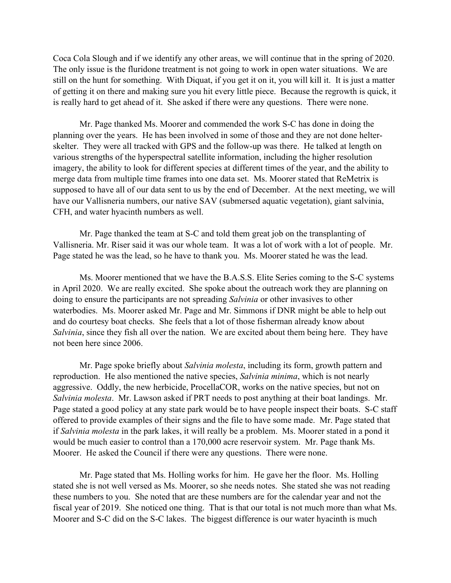Coca Cola Slough and if we identify any other areas, we will continue that in the spring of 2020. The only issue is the fluridone treatment is not going to work in open water situations. We are still on the hunt for something. With Diquat, if you get it on it, you will kill it. It is just a matter of getting it on there and making sure you hit every little piece. Because the regrowth is quick, it is really hard to get ahead of it. She asked if there were any questions. There were none.

Mr. Page thanked Ms. Moorer and commended the work S-C has done in doing the planning over the years. He has been involved in some of those and they are not done helterskelter. They were all tracked with GPS and the follow-up was there. He talked at length on various strengths of the hyperspectral satellite information, including the higher resolution imagery, the ability to look for different species at different times of the year, and the ability to merge data from multiple time frames into one data set. Ms. Moorer stated that ReMetrix is supposed to have all of our data sent to us by the end of December. At the next meeting, we will have our Vallisneria numbers, our native SAV (submersed aquatic vegetation), giant salvinia, CFH, and water hyacinth numbers as well.

Mr. Page thanked the team at S-C and told them great job on the transplanting of Vallisneria. Mr. Riser said it was our whole team. It was a lot of work with a lot of people. Mr. Page stated he was the lead, so he have to thank you. Ms. Moorer stated he was the lead.

Ms. Moorer mentioned that we have the B.A.S.S. Elite Series coming to the S-C systems in April 2020. We are really excited. She spoke about the outreach work they are planning on doing to ensure the participants are not spreading *Salvinia* or other invasives to other waterbodies. Ms. Moorer asked Mr. Page and Mr. Simmons if DNR might be able to help out and do courtesy boat checks. She feels that a lot of those fisherman already know about *Salvinia*, since they fish all over the nation. We are excited about them being here. They have not been here since 2006.

Mr. Page spoke briefly about *Salvinia molesta*, including its form, growth pattern and reproduction. He also mentioned the native species, *Salvinia minima*, which is not nearly aggressive. Oddly, the new herbicide, ProcellaCOR, works on the native species, but not on *Salvinia molesta*. Mr. Lawson asked if PRT needs to post anything at their boat landings. Mr. Page stated a good policy at any state park would be to have people inspect their boats. S-C staff offered to provide examples of their signs and the file to have some made. Mr. Page stated that if *Salvinia molesta* in the park lakes, it will really be a problem. Ms. Moorer stated in a pond it would be much easier to control than a 170,000 acre reservoir system. Mr. Page thank Ms. Moorer. He asked the Council if there were any questions. There were none.

Mr. Page stated that Ms. Holling works for him. He gave her the floor. Ms. Holling stated she is not well versed as Ms. Moorer, so she needs notes. She stated she was not reading these numbers to you. She noted that are these numbers are for the calendar year and not the fiscal year of 2019. She noticed one thing. That is that our total is not much more than what Ms. Moorer and S-C did on the S-C lakes. The biggest difference is our water hyacinth is much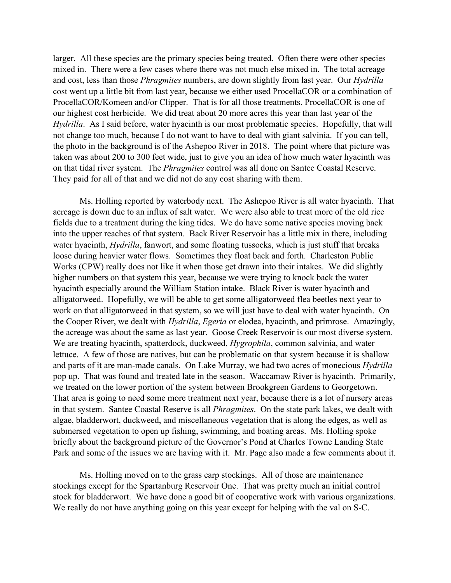larger. All these species are the primary species being treated. Often there were other species mixed in. There were a few cases where there was not much else mixed in. The total acreage and cost, less than those *Phragmites* numbers, are down slightly from last year. Our *Hydrilla* cost went up a little bit from last year, because we either used ProcellaCOR or a combination of ProcellaCOR/Komeen and/or Clipper. That is for all those treatments. ProcellaCOR is one of our highest cost herbicide. We did treat about 20 more acres this year than last year of the *Hydrilla*. As I said before, water hyacinth is our most problematic species. Hopefully, that will not change too much, because I do not want to have to deal with giant salvinia. If you can tell, the photo in the background is of the Ashepoo River in 2018. The point where that picture was taken was about 200 to 300 feet wide, just to give you an idea of how much water hyacinth was on that tidal river system. The *Phragmites* control was all done on Santee Coastal Reserve. They paid for all of that and we did not do any cost sharing with them.

Ms. Holling reported by waterbody next. The Ashepoo River is all water hyacinth. That acreage is down due to an influx of salt water. We were also able to treat more of the old rice fields due to a treatment during the king tides. We do have some native species moving back into the upper reaches of that system. Back River Reservoir has a little mix in there, including water hyacinth, *Hydrilla*, fanwort, and some floating tussocks, which is just stuff that breaks loose during heavier water flows. Sometimes they float back and forth. Charleston Public Works (CPW) really does not like it when those get drawn into their intakes. We did slightly higher numbers on that system this year, because we were trying to knock back the water hyacinth especially around the William Station intake. Black River is water hyacinth and alligatorweed. Hopefully, we will be able to get some alligatorweed flea beetles next year to work on that alligatorweed in that system, so we will just have to deal with water hyacinth. On the Cooper River, we dealt with *Hydrilla*, *Egeria* or elodea, hyacinth, and primrose. Amazingly, the acreage was about the same as last year. Goose Creek Reservoir is our most diverse system. We are treating hyacinth, spatterdock, duckweed, *Hygrophila*, common salvinia, and water lettuce. A few of those are natives, but can be problematic on that system because it is shallow and parts of it are man-made canals. On Lake Murray, we had two acres of monecious *Hydrilla* pop up. That was found and treated late in the season. Waccamaw River is hyacinth. Primarily, we treated on the lower portion of the system between Brookgreen Gardens to Georgetown. That area is going to need some more treatment next year, because there is a lot of nursery areas in that system. Santee Coastal Reserve is all *Phragmites*. On the state park lakes, we dealt with algae, bladderwort, duckweed, and miscellaneous vegetation that is along the edges, as well as submersed vegetation to open up fishing, swimming, and boating areas. Ms. Holling spoke briefly about the background picture of the Governor's Pond at Charles Towne Landing State Park and some of the issues we are having with it. Mr. Page also made a few comments about it.

Ms. Holling moved on to the grass carp stockings. All of those are maintenance stockings except for the Spartanburg Reservoir One. That was pretty much an initial control stock for bladderwort. We have done a good bit of cooperative work with various organizations. We really do not have anything going on this year except for helping with the val on S-C.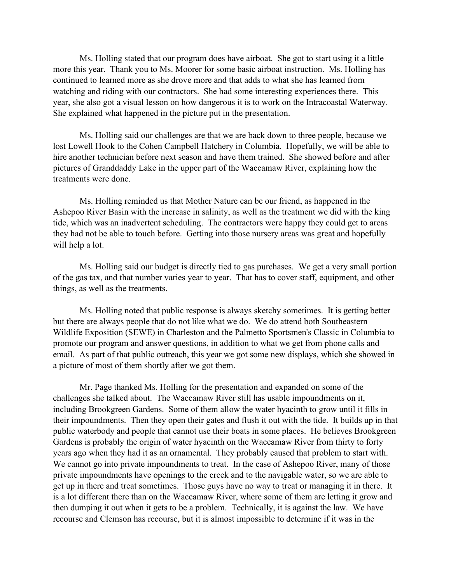Ms. Holling stated that our program does have airboat. She got to start using it a little more this year. Thank you to Ms. Moorer for some basic airboat instruction. Ms. Holling has continued to learned more as she drove more and that adds to what she has learned from watching and riding with our contractors. She had some interesting experiences there. This year, she also got a visual lesson on how dangerous it is to work on the Intracoastal Waterway. She explained what happened in the picture put in the presentation.

Ms. Holling said our challenges are that we are back down to three people, because we lost Lowell Hook to the Cohen Campbell Hatchery in Columbia. Hopefully, we will be able to hire another technician before next season and have them trained. She showed before and after pictures of Granddaddy Lake in the upper part of the Waccamaw River, explaining how the treatments were done.

Ms. Holling reminded us that Mother Nature can be our friend, as happened in the Ashepoo River Basin with the increase in salinity, as well as the treatment we did with the king tide, which was an inadvertent scheduling. The contractors were happy they could get to areas they had not be able to touch before. Getting into those nursery areas was great and hopefully will help a lot.

Ms. Holling said our budget is directly tied to gas purchases. We get a very small portion of the gas tax, and that number varies year to year. That has to cover staff, equipment, and other things, as well as the treatments.

Ms. Holling noted that public response is always sketchy sometimes. It is getting better but there are always people that do not like what we do. We do attend both Southeastern Wildlife Exposition (SEWE) in Charleston and the Palmetto Sportsmen's Classic in Columbia to promote our program and answer questions, in addition to what we get from phone calls and email. As part of that public outreach, this year we got some new displays, which she showed in a picture of most of them shortly after we got them.

Mr. Page thanked Ms. Holling for the presentation and expanded on some of the challenges she talked about. The Waccamaw River still has usable impoundments on it, including Brookgreen Gardens. Some of them allow the water hyacinth to grow until it fills in their impoundments. Then they open their gates and flush it out with the tide. It builds up in that public waterbody and people that cannot use their boats in some places. He believes Brookgreen Gardens is probably the origin of water hyacinth on the Waccamaw River from thirty to forty years ago when they had it as an ornamental. They probably caused that problem to start with. We cannot go into private impoundments to treat. In the case of Ashepoo River, many of those private impoundments have openings to the creek and to the navigable water, so we are able to get up in there and treat sometimes. Those guys have no way to treat or managing it in there. It is a lot different there than on the Waccamaw River, where some of them are letting it grow and then dumping it out when it gets to be a problem. Technically, it is against the law. We have recourse and Clemson has recourse, but it is almost impossible to determine if it was in the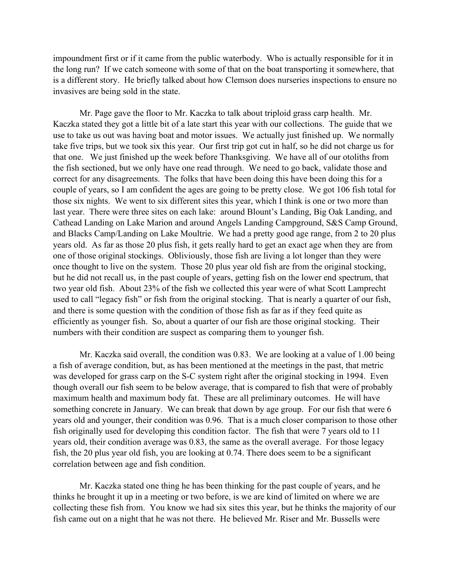impoundment first or if it came from the public waterbody. Who is actually responsible for it in the long run? If we catch someone with some of that on the boat transporting it somewhere, that is a different story. He briefly talked about how Clemson does nurseries inspections to ensure no invasives are being sold in the state.

Mr. Page gave the floor to Mr. Kaczka to talk about triploid grass carp health. Mr. Kaczka stated they got a little bit of a late start this year with our collections. The guide that we use to take us out was having boat and motor issues. We actually just finished up. We normally take five trips, but we took six this year. Our first trip got cut in half, so he did not charge us for that one. We just finished up the week before Thanksgiving. We have all of our otoliths from the fish sectioned, but we only have one read through. We need to go back, validate those and correct for any disagreements. The folks that have been doing this have been doing this for a couple of years, so I am confident the ages are going to be pretty close. We got 106 fish total for those six nights. We went to six different sites this year, which I think is one or two more than last year. There were three sites on each lake: around Blount's Landing, Big Oak Landing, and Cathead Landing on Lake Marion and around Angels Landing Campground, S&S Camp Ground, and Blacks Camp/Landing on Lake Moultrie. We had a pretty good age range, from 2 to 20 plus years old. As far as those 20 plus fish, it gets really hard to get an exact age when they are from one of those original stockings. Obliviously, those fish are living a lot longer than they were once thought to live on the system. Those 20 plus year old fish are from the original stocking, but he did not recall us, in the past couple of years, getting fish on the lower end spectrum, that two year old fish. About 23% of the fish we collected this year were of what Scott Lamprecht used to call "legacy fish" or fish from the original stocking. That is nearly a quarter of our fish, and there is some question with the condition of those fish as far as if they feed quite as efficiently as younger fish. So, about a quarter of our fish are those original stocking. Their numbers with their condition are suspect as comparing them to younger fish.

Mr. Kaczka said overall, the condition was 0.83. We are looking at a value of 1.00 being a fish of average condition, but, as has been mentioned at the meetings in the past, that metric was developed for grass carp on the S-C system right after the original stocking in 1994. Even though overall our fish seem to be below average, that is compared to fish that were of probably maximum health and maximum body fat. These are all preliminary outcomes. He will have something concrete in January. We can break that down by age group. For our fish that were 6 years old and younger, their condition was 0.96. That is a much closer comparison to those other fish originally used for developing this condition factor. The fish that were 7 years old to 11 years old, their condition average was 0.83, the same as the overall average. For those legacy fish, the 20 plus year old fish, you are looking at 0.74. There does seem to be a significant correlation between age and fish condition.

Mr. Kaczka stated one thing he has been thinking for the past couple of years, and he thinks he brought it up in a meeting or two before, is we are kind of limited on where we are collecting these fish from. You know we had six sites this year, but he thinks the majority of our fish came out on a night that he was not there. He believed Mr. Riser and Mr. Bussells were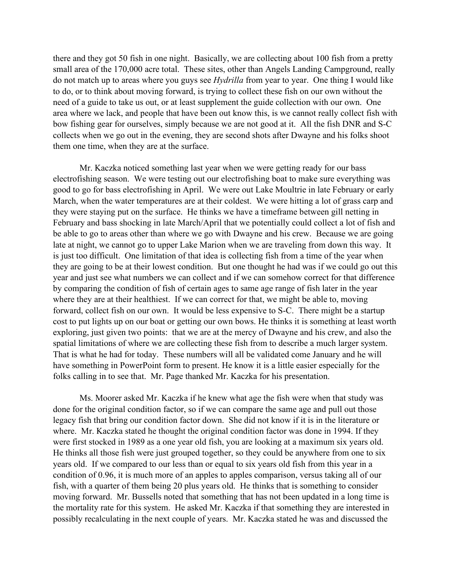there and they got 50 fish in one night. Basically, we are collecting about 100 fish from a pretty small area of the 170,000 acre total. These sites, other than Angels Landing Campground, really do not match up to areas where you guys see *Hydrilla* from year to year. One thing I would like to do, or to think about moving forward, is trying to collect these fish on our own without the need of a guide to take us out, or at least supplement the guide collection with our own. One area where we lack, and people that have been out know this, is we cannot really collect fish with bow fishing gear for ourselves, simply because we are not good at it. All the fish DNR and S-C collects when we go out in the evening, they are second shots after Dwayne and his folks shoot them one time, when they are at the surface.

Mr. Kaczka noticed something last year when we were getting ready for our bass electrofishing season. We were testing out our electrofishing boat to make sure everything was good to go for bass electrofishing in April. We were out Lake Moultrie in late February or early March, when the water temperatures are at their coldest. We were hitting a lot of grass carp and they were staying put on the surface. He thinks we have a timeframe between gill netting in February and bass shocking in late March/April that we potentially could collect a lot of fish and be able to go to areas other than where we go with Dwayne and his crew. Because we are going late at night, we cannot go to upper Lake Marion when we are traveling from down this way. It is just too difficult. One limitation of that idea is collecting fish from a time of the year when they are going to be at their lowest condition. But one thought he had was if we could go out this year and just see what numbers we can collect and if we can somehow correct for that difference by comparing the condition of fish of certain ages to same age range of fish later in the year where they are at their healthiest. If we can correct for that, we might be able to, moving forward, collect fish on our own. It would be less expensive to S-C. There might be a startup cost to put lights up on our boat or getting our own bows. He thinks it is something at least worth exploring, just given two points: that we are at the mercy of Dwayne and his crew, and also the spatial limitations of where we are collecting these fish from to describe a much larger system. That is what he had for today. These numbers will all be validated come January and he will have something in PowerPoint form to present. He know it is a little easier especially for the folks calling in to see that. Mr. Page thanked Mr. Kaczka for his presentation.

Ms. Moorer asked Mr. Kaczka if he knew what age the fish were when that study was done for the original condition factor, so if we can compare the same age and pull out those legacy fish that bring our condition factor down. She did not know if it is in the literature or where. Mr. Kaczka stated he thought the original condition factor was done in 1994. If they were first stocked in 1989 as a one year old fish, you are looking at a maximum six years old. He thinks all those fish were just grouped together, so they could be anywhere from one to six years old. If we compared to our less than or equal to six years old fish from this year in a condition of 0.96, it is much more of an apples to apples comparison, versus taking all of our fish, with a quarter of them being 20 plus years old. He thinks that is something to consider moving forward. Mr. Bussells noted that something that has not been updated in a long time is the mortality rate for this system. He asked Mr. Kaczka if that something they are interested in possibly recalculating in the next couple of years. Mr. Kaczka stated he was and discussed the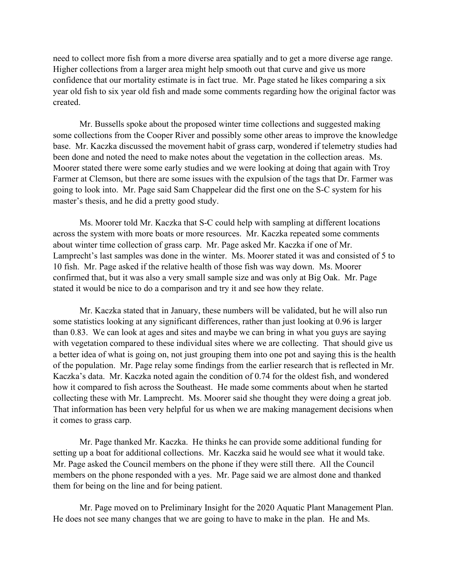need to collect more fish from a more diverse area spatially and to get a more diverse age range. Higher collections from a larger area might help smooth out that curve and give us more confidence that our mortality estimate is in fact true. Mr. Page stated he likes comparing a six year old fish to six year old fish and made some comments regarding how the original factor was created.

Mr. Bussells spoke about the proposed winter time collections and suggested making some collections from the Cooper River and possibly some other areas to improve the knowledge base. Mr. Kaczka discussed the movement habit of grass carp, wondered if telemetry studies had been done and noted the need to make notes about the vegetation in the collection areas. Ms. Moorer stated there were some early studies and we were looking at doing that again with Troy Farmer at Clemson, but there are some issues with the expulsion of the tags that Dr. Farmer was going to look into. Mr. Page said Sam Chappelear did the first one on the S-C system for his master's thesis, and he did a pretty good study.

Ms. Moorer told Mr. Kaczka that S-C could help with sampling at different locations across the system with more boats or more resources. Mr. Kaczka repeated some comments about winter time collection of grass carp. Mr. Page asked Mr. Kaczka if one of Mr. Lamprecht's last samples was done in the winter. Ms. Moorer stated it was and consisted of 5 to 10 fish. Mr. Page asked if the relative health of those fish was way down. Ms. Moorer confirmed that, but it was also a very small sample size and was only at Big Oak. Mr. Page stated it would be nice to do a comparison and try it and see how they relate.

Mr. Kaczka stated that in January, these numbers will be validated, but he will also run some statistics looking at any significant differences, rather than just looking at 0.96 is larger than 0.83. We can look at ages and sites and maybe we can bring in what you guys are saying with vegetation compared to these individual sites where we are collecting. That should give us a better idea of what is going on, not just grouping them into one pot and saying this is the health of the population. Mr. Page relay some findings from the earlier research that is reflected in Mr. Kaczka's data. Mr. Kaczka noted again the condition of 0.74 for the oldest fish, and wondered how it compared to fish across the Southeast. He made some comments about when he started collecting these with Mr. Lamprecht. Ms. Moorer said she thought they were doing a great job. That information has been very helpful for us when we are making management decisions when it comes to grass carp.

Mr. Page thanked Mr. Kaczka. He thinks he can provide some additional funding for setting up a boat for additional collections. Mr. Kaczka said he would see what it would take. Mr. Page asked the Council members on the phone if they were still there. All the Council members on the phone responded with a yes. Mr. Page said we are almost done and thanked them for being on the line and for being patient.

Mr. Page moved on to Preliminary Insight for the 2020 Aquatic Plant Management Plan. He does not see many changes that we are going to have to make in the plan. He and Ms.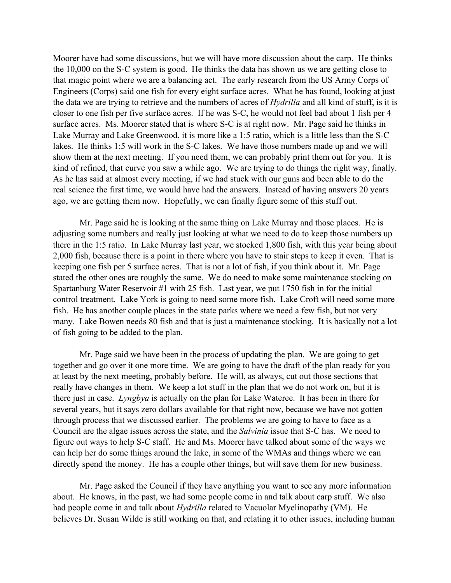Moorer have had some discussions, but we will have more discussion about the carp. He thinks the 10,000 on the S-C system is good. He thinks the data has shown us we are getting close to that magic point where we are a balancing act. The early research from the US Army Corps of Engineers (Corps) said one fish for every eight surface acres. What he has found, looking at just the data we are trying to retrieve and the numbers of acres of *Hydrilla* and all kind of stuff, is it is closer to one fish per five surface acres. If he was S-C, he would not feel bad about 1 fish per 4 surface acres. Ms. Moorer stated that is where S-C is at right now. Mr. Page said he thinks in Lake Murray and Lake Greenwood, it is more like a 1:5 ratio, which is a little less than the S-C lakes. He thinks 1:5 will work in the S-C lakes. We have those numbers made up and we will show them at the next meeting. If you need them, we can probably print them out for you. It is kind of refined, that curve you saw a while ago. We are trying to do things the right way, finally. As he has said at almost every meeting, if we had stuck with our guns and been able to do the real science the first time, we would have had the answers. Instead of having answers 20 years ago, we are getting them now. Hopefully, we can finally figure some of this stuff out.

Mr. Page said he is looking at the same thing on Lake Murray and those places. He is adjusting some numbers and really just looking at what we need to do to keep those numbers up there in the 1:5 ratio. In Lake Murray last year, we stocked 1,800 fish, with this year being about 2,000 fish, because there is a point in there where you have to stair steps to keep it even. That is keeping one fish per 5 surface acres. That is not a lot of fish, if you think about it. Mr. Page stated the other ones are roughly the same. We do need to make some maintenance stocking on Spartanburg Water Reservoir #1 with 25 fish. Last year, we put 1750 fish in for the initial control treatment. Lake York is going to need some more fish. Lake Croft will need some more fish. He has another couple places in the state parks where we need a few fish, but not very many. Lake Bowen needs 80 fish and that is just a maintenance stocking. It is basically not a lot of fish going to be added to the plan.

Mr. Page said we have been in the process of updating the plan. We are going to get together and go over it one more time. We are going to have the draft of the plan ready for you at least by the next meeting, probably before. He will, as always, cut out those sections that really have changes in them. We keep a lot stuff in the plan that we do not work on, but it is there just in case. *Lyngbya* is actually on the plan for Lake Wateree. It has been in there for several years, but it says zero dollars available for that right now, because we have not gotten through process that we discussed earlier. The problems we are going to have to face as a Council are the algae issues across the state, and the *Salvinia* issue that S-C has. We need to figure out ways to help S-C staff. He and Ms. Moorer have talked about some of the ways we can help her do some things around the lake, in some of the WMAs and things where we can directly spend the money. He has a couple other things, but will save them for new business.

Mr. Page asked the Council if they have anything you want to see any more information about. He knows, in the past, we had some people come in and talk about carp stuff. We also had people come in and talk about *Hydrilla* related to Vacuolar Myelinopathy (VM). He believes Dr. Susan Wilde is still working on that, and relating it to other issues, including human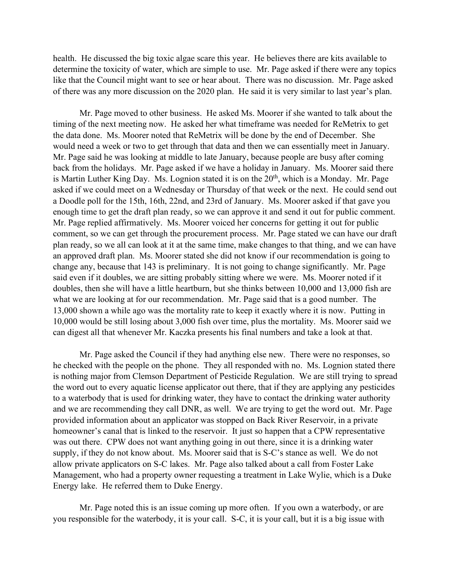health. He discussed the big toxic algae scare this year. He believes there are kits available to determine the toxicity of water, which are simple to use. Mr. Page asked if there were any topics like that the Council might want to see or hear about. There was no discussion. Mr. Page asked of there was any more discussion on the 2020 plan. He said it is very similar to last year's plan.

Mr. Page moved to other business. He asked Ms. Moorer if she wanted to talk about the timing of the next meeting now. He asked her what timeframe was needed for ReMetrix to get the data done. Ms. Moorer noted that ReMetrix will be done by the end of December. She would need a week or two to get through that data and then we can essentially meet in January. Mr. Page said he was looking at middle to late January, because people are busy after coming back from the holidays. Mr. Page asked if we have a holiday in January. Ms. Moorer said there is Martin Luther King Day. Ms. Lognion stated it is on the  $20<sup>th</sup>$ , which is a Monday. Mr. Page asked if we could meet on a Wednesday or Thursday of that week or the next. He could send out a Doodle poll for the 15th, 16th, 22nd, and 23rd of January. Ms. Moorer asked if that gave you enough time to get the draft plan ready, so we can approve it and send it out for public comment. Mr. Page replied affirmatively. Ms. Moorer voiced her concerns for getting it out for public comment, so we can get through the procurement process. Mr. Page stated we can have our draft plan ready, so we all can look at it at the same time, make changes to that thing, and we can have an approved draft plan. Ms. Moorer stated she did not know if our recommendation is going to change any, because that 143 is preliminary. It is not going to change significantly. Mr. Page said even if it doubles, we are sitting probably sitting where we were. Ms. Moorer noted if it doubles, then she will have a little heartburn, but she thinks between 10,000 and 13,000 fish are what we are looking at for our recommendation. Mr. Page said that is a good number. The 13,000 shown a while ago was the mortality rate to keep it exactly where it is now. Putting in 10,000 would be still losing about 3,000 fish over time, plus the mortality. Ms. Moorer said we can digest all that whenever Mr. Kaczka presents his final numbers and take a look at that.

Mr. Page asked the Council if they had anything else new. There were no responses, so he checked with the people on the phone. They all responded with no. Ms. Lognion stated there is nothing major from Clemson Department of Pesticide Regulation. We are still trying to spread the word out to every aquatic license applicator out there, that if they are applying any pesticides to a waterbody that is used for drinking water, they have to contact the drinking water authority and we are recommending they call DNR, as well. We are trying to get the word out. Mr. Page provided information about an applicator was stopped on Back River Reservoir, in a private homeowner's canal that is linked to the reservoir. It just so happen that a CPW representative was out there. CPW does not want anything going in out there, since it is a drinking water supply, if they do not know about. Ms. Moorer said that is S-C's stance as well. We do not allow private applicators on S-C lakes. Mr. Page also talked about a call from Foster Lake Management, who had a property owner requesting a treatment in Lake Wylie, which is a Duke Energy lake. He referred them to Duke Energy.

Mr. Page noted this is an issue coming up more often. If you own a waterbody, or are you responsible for the waterbody, it is your call. S-C, it is your call, but it is a big issue with